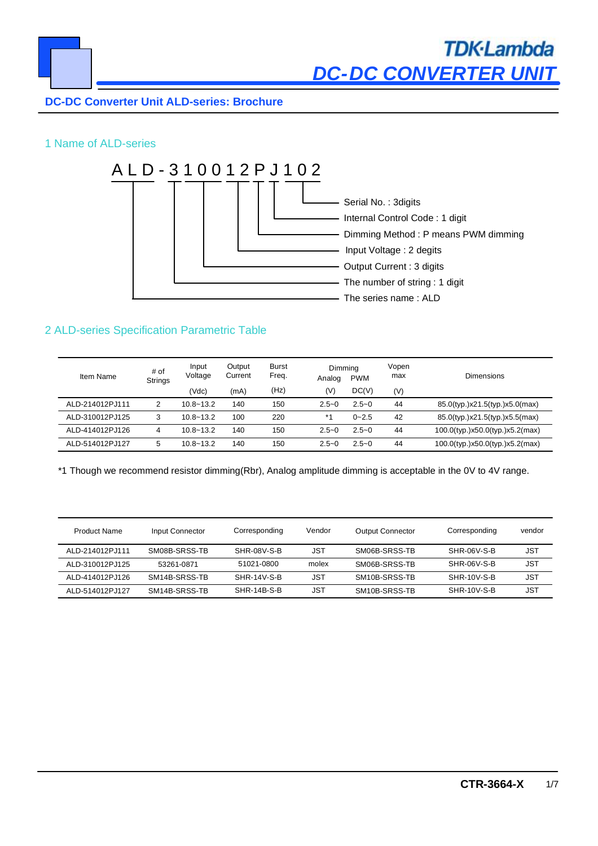

# **TDK-Lambda** *DC-DC CONVERTER UNIT*

# **DC-DC Converter Unit ALD-series: Brochure**

# 1 Name of ALD-series



# 2 ALD-series Specification Parametric Table

| Item Name       | # of<br><b>Strings</b> | Input<br>Voltage | Output<br>Current | <b>Burst</b><br>Freq. | Dimming<br>Analog | <b>PWM</b> | Vopen<br>max | <b>Dimensions</b>               |
|-----------------|------------------------|------------------|-------------------|-----------------------|-------------------|------------|--------------|---------------------------------|
|                 |                        | (Vdc)            | (mA)              | (Hz)                  | (V)               | DC(V)      | (V)          |                                 |
| ALD-214012PJ111 |                        | $10.8 - 13.2$    | 140               | 150                   | $2.5 - 0$         | $2.5 - 0$  | 44           | 85.0(typ.)x21.5(typ.)x5.0(max)  |
| ALD-310012PJ125 | 3                      | $10.8 - 13.2$    | 100               | 220                   | *1                | $0 - 2.5$  | 42           | 85.0(typ.)x21.5(typ.)x5.5(max)  |
| ALD-414012PJ126 | 4                      | $10.8 - 13.2$    | 140               | 150                   | $2.5 - 0$         | $2.5 - 0$  | 44           | 100.0(typ.)x50.0(typ.)x5.2(max) |
| ALD-514012PJ127 | 5                      | $10.8 - 13.2$    | 140               | 150                   | $2.5 - 0$         | $2.5 - 0$  | 44           | 100.0(typ.)x50.0(typ.)x5.2(max) |

\*1 Though we recommend resistor dimming(Rbr), Analog amplitude dimming is acceptable in the 0V to 4V range.

| <b>Product Name</b> | Input Connector | Corresponding      | Vendor     | <b>Output Connector</b> | Corresponding      | vendor     |
|---------------------|-----------------|--------------------|------------|-------------------------|--------------------|------------|
| ALD-214012PJ111     | SM08B-SRSS-TB   | SHR-08V-S-B        | <b>JST</b> | SM06B-SRSS-TB           | SHR-06V-S-B        | JST        |
| ALD-310012PJ125     | 53261-0871      | 51021-0800         | molex      | SM06B-SRSS-TB           | SHR-06V-S-B        | JST        |
| ALD-414012PJ126     | SM14B-SRSS-TB   | <b>SHR-14V-S-B</b> | <b>JST</b> | SM10B-SRSS-TB           | <b>SHR-10V-S-B</b> | JST        |
| ALD-514012PJ127     | SM14B-SRSS-TB   | SHR-14B-S-B        | JST        | SM10B-SRSS-TB           | SHR-10V-S-B        | <b>JST</b> |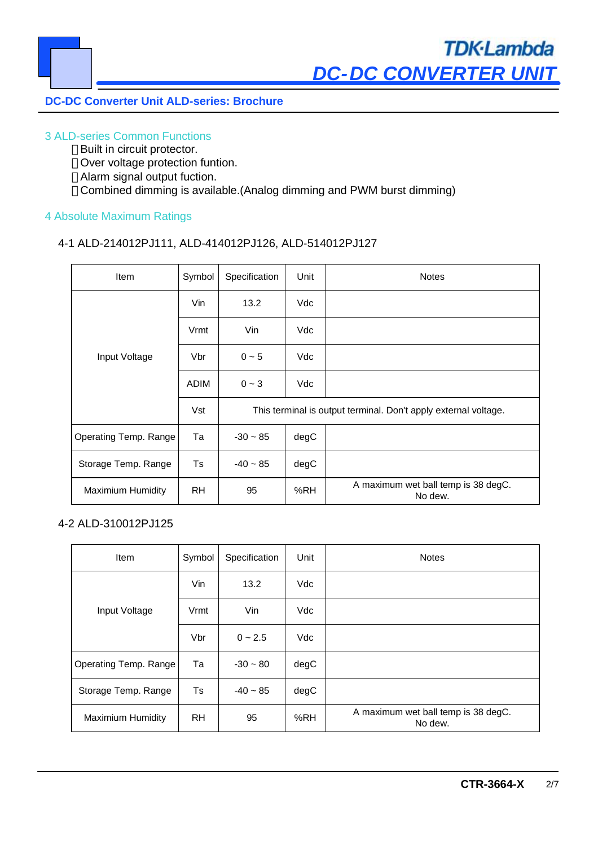#### 3 ALD-series Common Functions

Built in circuit protector. Over voltage protection funtion. Alarm signal output fuction. Combined dimming is available.(Analog dimming and PWM burst dimming)

# 4 Absolute Maximum Ratings

# 4-1 ALD-214012PJ111, ALD-414012PJ126, ALD-514012PJ127

| <b>Item</b>              | Symbol      | Specification                                                   | Unit | <b>Notes</b>                                   |
|--------------------------|-------------|-----------------------------------------------------------------|------|------------------------------------------------|
|                          | Vin         | 13.2                                                            | Vdc  |                                                |
|                          | Vrmt        | Vin                                                             | Vdc  |                                                |
| Input Voltage            | Vbr         | $0 - 5$                                                         | Vdc  |                                                |
|                          | <b>ADIM</b> | $0 - 3$                                                         | Vdc  |                                                |
|                          | Vst         | This terminal is output terminal. Don't apply external voltage. |      |                                                |
| Operating Temp. Range    | Та          | $-30 - 85$                                                      | degC |                                                |
| Storage Temp. Range      | Ts          | $-40 - 85$                                                      | degC |                                                |
| <b>Maximium Humidity</b> | <b>RH</b>   | 95                                                              | %RH  | A maximum wet ball temp is 38 degC.<br>No dew. |

# 4-2 ALD-310012PJ125

| Item                     | Symbol    | Specification | Unit | <b>Notes</b>                                   |
|--------------------------|-----------|---------------|------|------------------------------------------------|
|                          | Vin       | 13.2          | Vdc  |                                                |
| Input Voltage            | Vrmt      | Vin           | Vdc  |                                                |
|                          | Vbr       | $0 - 2.5$     | Vdc  |                                                |
| Operating Temp. Range    | Та        | $-30 - 80$    | degC |                                                |
| Storage Temp. Range      | Ts        | $-40 - 85$    | degC |                                                |
| <b>Maximium Humidity</b> | <b>RH</b> | 95            | %RH  | A maximum wet ball temp is 38 degC.<br>No dew. |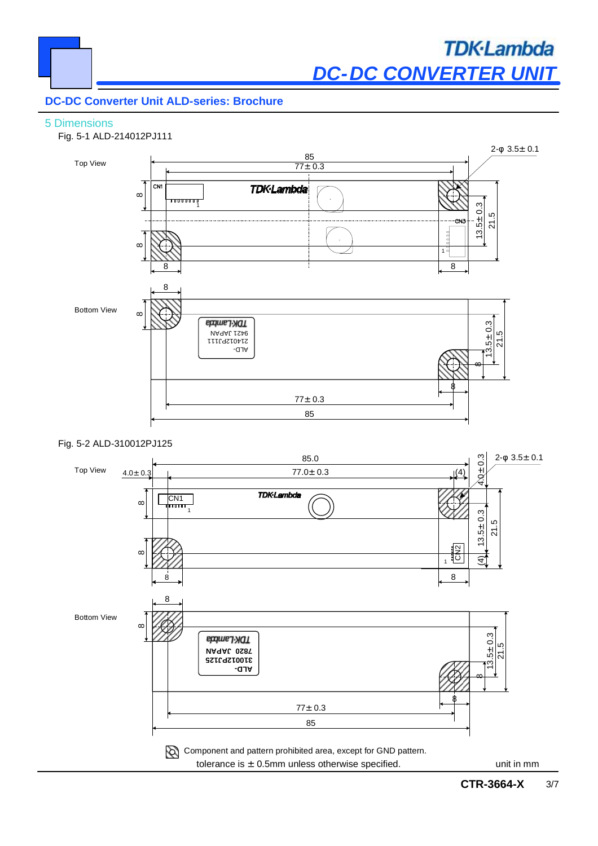#### 5 Dimensions



#### Fig. 5-2 ALD-310012PJ125

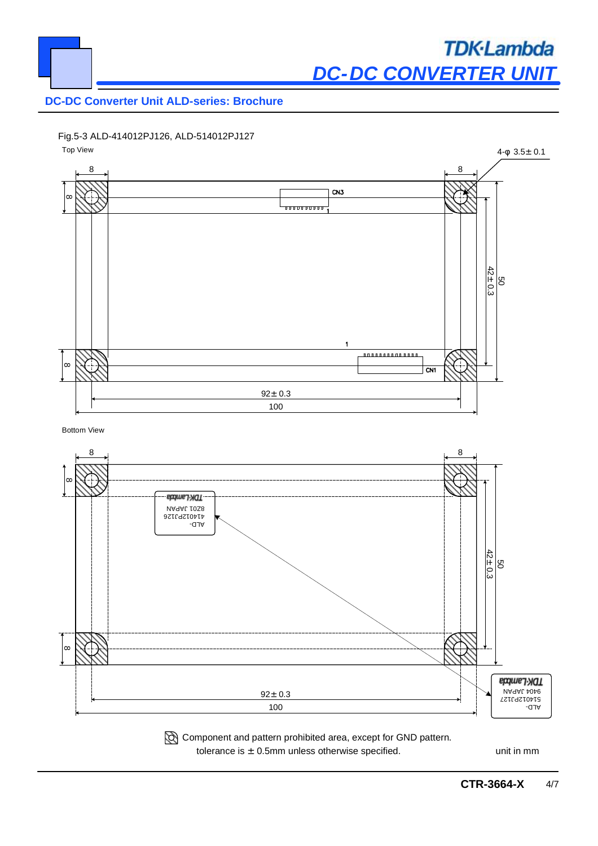

Fig.5-3 ALD-414012PJ126, ALD-514012PJ127





tolerance is  $\pm$  0.5mm unless otherwise specified. unit in mm Component and pattern prohibited area, except for GND pattern.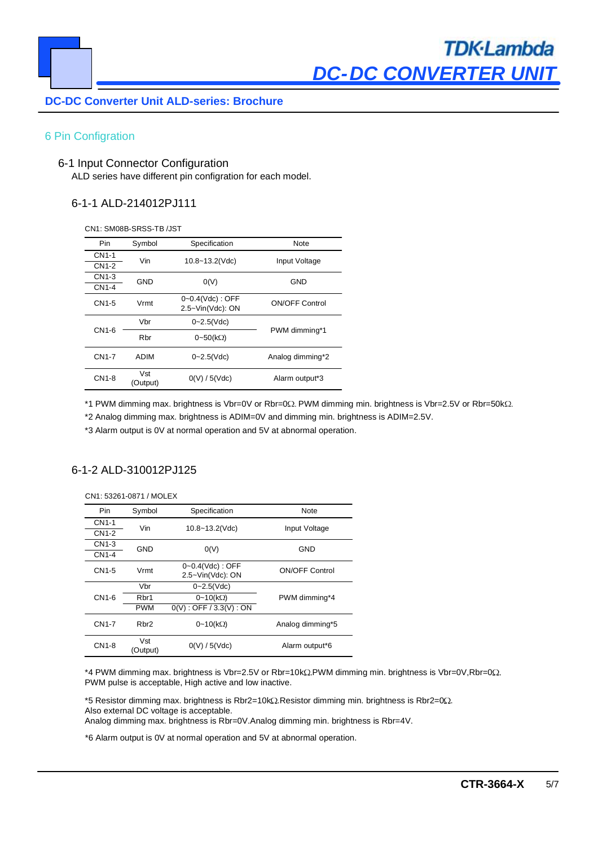

#### 6 Pin Configration

#### 6-1 Input Connector Configuration

ALD series have different pin configration for each model.

#### 6-1-1 ALD-214012PJ111

CN1: SM08B-SRSS-TB /JST

| Pin.               | Symbol          | Specification                             | Note                  |  |
|--------------------|-----------------|-------------------------------------------|-----------------------|--|
| CN <sub>1</sub> -1 | Vin             | $10.8 - 13.2$ (Vdc)                       | Input Voltage         |  |
| CN1-2              |                 |                                           |                       |  |
| CN1-3              | GND             | O(V)                                      | GND                   |  |
| CN1-4              |                 |                                           |                       |  |
| CN1-5              | Vrmt            | $0 - 0.4$ (Vdc) : OFF<br>2.5~Vin(Vdc): ON | <b>ON/OFF Control</b> |  |
|                    | Vbr             | $0 - 2.5$ (Vdc)                           |                       |  |
| CN1-6              | Rbr             | $0-50(k\Omega)$                           | PWM dimming*1         |  |
| CN1-7              | <b>ADIM</b>     | $0 - 2.5$ (Vdc)                           | Analog dimming*2      |  |
| CN1-8              | Vst<br>(Output) | 0(V)/5(Vdc)                               | Alarm output*3        |  |

\*1 PWM dimming max. brightness is Vbr=0V or Rbr=0Ω. PWM dimming min. brightness is Vbr=2.5V or Rbr=50kΩ.

\*2 Analog dimming max. brightness is ADIM=0V and dimming min. brightness is ADIM=2.5V.

\*3 Alarm output is 0V at normal operation and 5V at abnormal operation.

#### 6-1-2 ALD-310012PJ125

| CN1: 53261-0871 / MOLEX |                 |                                                              |                       |  |  |
|-------------------------|-----------------|--------------------------------------------------------------|-----------------------|--|--|
| <b>Pin</b>              | Symbol          | Specification                                                | Note                  |  |  |
| <b>CN1-1</b>            | Vin             | 10.8~13.2(Vdc)                                               | Input Voltage         |  |  |
| <b>CN1-2</b>            |                 |                                                              |                       |  |  |
| CN1-3                   | GND             | O(V)                                                         | GND                   |  |  |
| <b>CN1-4</b>            |                 |                                                              |                       |  |  |
| CN1-5                   | Vrmt            | $0 - 0.4$ (Vdc) : OFF<br>$2.5 - \text{Vin}(\text{Vdc})$ : ON | <b>ON/OFF Control</b> |  |  |
|                         | Vbr             | $0 - 2.5$ (Vdc)                                              |                       |  |  |
| CN1-6                   | Rbr1            | $0-10(k\Omega)$                                              | PWM dimming*4         |  |  |
|                         | <b>PWM</b>      | $0(V)$ : OFF / 3.3(V): ON                                    |                       |  |  |
| CN1-7                   | Rhr2            | $0-10(k\Omega)$                                              | Analog dimming*5      |  |  |
| CN1-8                   | Vst<br>(Output) | 0(V)/5(Vdc)                                                  | Alarm output*6        |  |  |

\*4 PWM dimming max. brightness is Vbr=2.5V or Rbr=10kΩ.PWM dimming min. brightness is Vbr=0V,Rbr=0Ω. PWM pulse is acceptable, High active and low inactive.

 $*5$  Resistor dimming max. brightness is Rbr2=10k $\Omega$ .Resistor dimming min. brightness is Rbr2=0 $\Omega$ . Also external DC voltage is acceptable.

Analog dimming max. brightness is Rbr=0V.Analog dimming min. brightness is Rbr=4V.

\*6 Alarm output is 0V at normal operation and 5V at abnormal operation.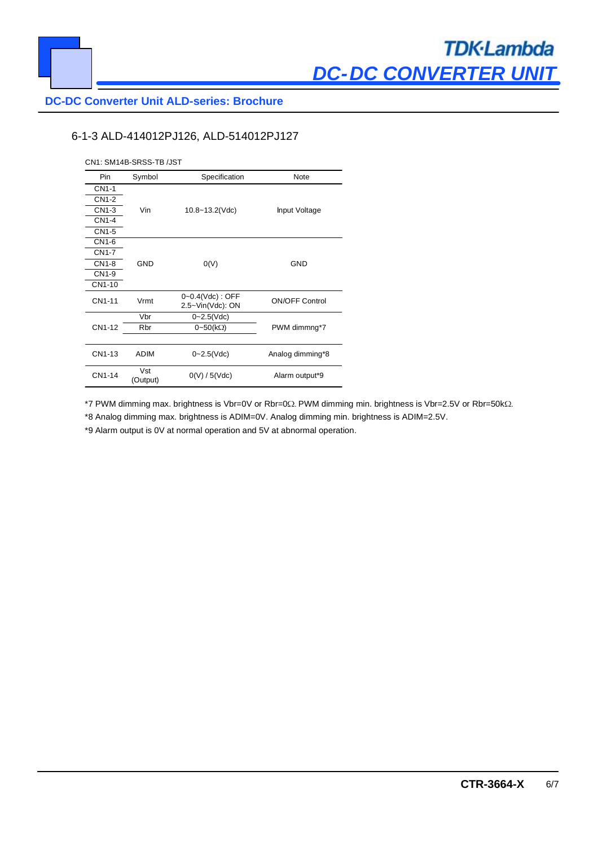

### 6-1-3 ALD-414012PJ126, ALD-514012PJ127

| CN1: SM14B-SRSS-TB /JST |                 |                                          |                       |  |  |
|-------------------------|-----------------|------------------------------------------|-----------------------|--|--|
| Pin.                    | Symbol          | Specification                            | Note                  |  |  |
| CN1-1                   |                 |                                          |                       |  |  |
| <b>CN1-2</b>            |                 |                                          |                       |  |  |
| CN1-3                   | Vin             | $10.8 - 13.2$ (Vdc)                      | Input Voltage         |  |  |
| CN1-4                   |                 |                                          |                       |  |  |
| CN1-5                   |                 |                                          |                       |  |  |
| CN1-6                   |                 |                                          |                       |  |  |
| CN1-7                   |                 |                                          | <b>GND</b>            |  |  |
| CN1-8                   | <b>GND</b>      | O(V)                                     |                       |  |  |
| CN1-9                   |                 |                                          |                       |  |  |
| CN1-10                  |                 |                                          |                       |  |  |
| CN1-11                  | Vrmt            | $0 - 0.4$ (Vdc): OFF<br>2.5~Vin(Vdc): ON | <b>ON/OFF Control</b> |  |  |
|                         | Vbr             | $0 - 2.5$ (Vdc)                          |                       |  |  |
| CN1-12                  | Rbr             | $0-50(k\Omega)$                          | PWM dimmng*7          |  |  |
|                         |                 |                                          |                       |  |  |
| CN1-13                  | <b>ADIM</b>     | $0 - 2.5$ (Vdc)                          | Analog dimming*8      |  |  |
| CN1-14                  | Vst<br>(Output) | 0(V)/5(Vdc)                              | Alarm output*9        |  |  |

\*7 PWM dimming max. brightness is Vbr=0V or Rbr=0Ω. PWM dimming min. brightness is Vbr=2.5V or Rbr=50kΩ.

\*8 Analog dimming max. brightness is ADIM=0V. Analog dimming min. brightness is ADIM=2.5V.

\*9 Alarm output is 0V at normal operation and 5V at abnormal operation.